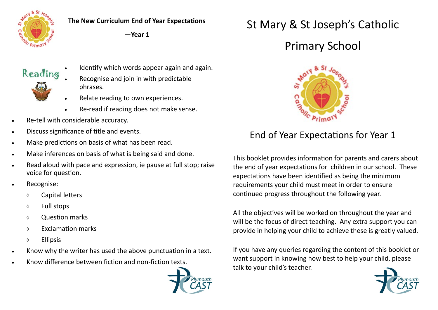

**The New Curriculum End of Year Expectations**

**—Year 1**

## Reading



- Identify which words appear again and again.
- Recognise and join in with predictable phrases.
- Relate reading to own experiences.
- Re-read if reading does not make sense.
- Re-tell with considerable accuracy.
- Discuss significance of title and events.
- Make predictions on basis of what has been read.
- Make inferences on basis of what is being said and done.
- Read aloud with pace and expression, ie pause at full stop; raise voice for question.
- Recognise:
	- Capital letters
	- $\Diamond$  Full stops
	- Question marks
	- $\circ$  Exclamation marks
	- Ellipsis
- Know why the writer has used the above punctuation in a text.
- Know difference between fiction and non-fiction texts.



## St Mary & St Joseph's Catholic

## Primary School



## End of Year Expectations for Year 1

This booklet provides information for parents and carers about the end of year expectations for children in our school. These expectations have been identified as being the minimum requirements your child must meet in order to ensure continued progress throughout the following year.

All the objectives will be worked on throughout the year and will be the focus of direct teaching. Any extra support you can provide in helping your child to achieve these is greatly valued.

If you have any queries regarding the content of this booklet or want support in knowing how best to help your child, please talk to your child's teacher.